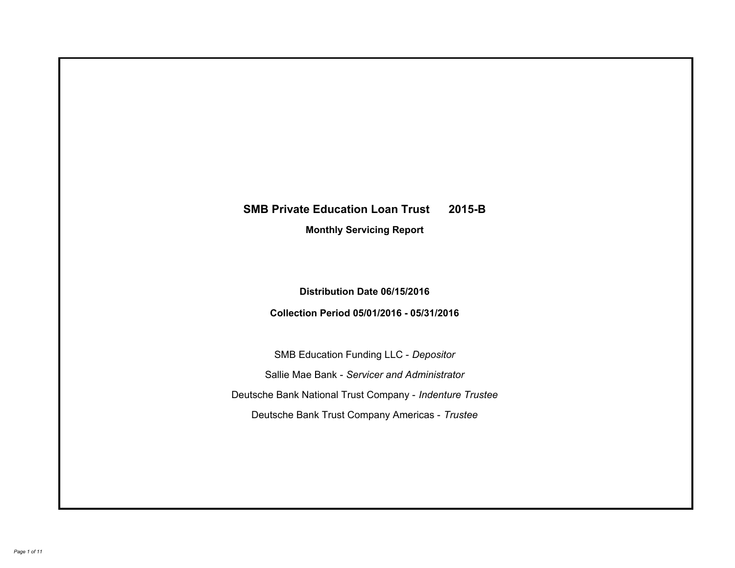# **SMB Private Education Loan Trust 2015-B Monthly Servicing Report**

## **Distribution Date 06/15/2016**

## **Collection Period 05/01/2016 - 05/31/2016**

SMB Education Funding LLC - *Depositor* Sallie Mae Bank - *Servicer and Administrator* Deutsche Bank National Trust Company - *Indenture Trustee* Deutsche Bank Trust Company Americas - *Trustee*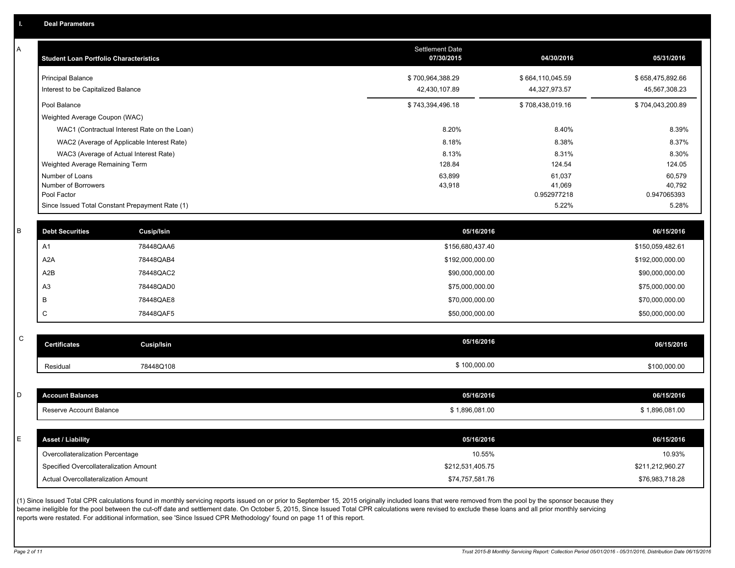A

| <b>Student Loan Portfolio Characteristics</b> |                                                 | <b>Settlement Date</b><br>07/30/2015 | 04/30/2016            | 05/31/2016            |
|-----------------------------------------------|-------------------------------------------------|--------------------------------------|-----------------------|-----------------------|
| <b>Principal Balance</b>                      |                                                 | \$700,964,388.29                     | \$664,110,045.59      | \$658,475,892.66      |
| Interest to be Capitalized Balance            |                                                 | 42,430,107.89                        | 44,327,973.57         | 45,567,308.23         |
| Pool Balance                                  |                                                 | \$743,394,496.18                     | \$708,438,019.16      | \$704,043,200.89      |
| Weighted Average Coupon (WAC)                 |                                                 |                                      |                       |                       |
|                                               | WAC1 (Contractual Interest Rate on the Loan)    | 8.20%                                | 8.40%                 | 8.39%                 |
|                                               | WAC2 (Average of Applicable Interest Rate)      | 8.18%                                | 8.38%                 | 8.37%                 |
|                                               | WAC3 (Average of Actual Interest Rate)          | 8.13%                                | 8.31%                 | 8.30%                 |
| Weighted Average Remaining Term               |                                                 | 128.84                               | 124.54                | 124.05                |
| Number of Loans                               |                                                 | 63,899                               | 61,037                | 60,579                |
| Number of Borrowers<br>Pool Factor            |                                                 | 43,918                               | 41,069<br>0.952977218 | 40,792<br>0.947065393 |
|                                               | Since Issued Total Constant Prepayment Rate (1) |                                      | 5.22%                 | 5.28%                 |
| <b>Debt Securities</b>                        | Cusip/Isin                                      | 05/16/2016                           |                       | 06/15/2016            |
| A1                                            | 78448QAA6                                       | \$156,680,437.40                     |                       | \$150,059,482.61      |
| A <sub>2</sub> A                              | 78448QAB4                                       | \$192,000,000.00                     |                       | \$192,000,000.00      |
| A2B                                           | 78448QAC2                                       | \$90,000,000.00                      |                       | \$90,000,000.00       |
| A <sub>3</sub>                                | 78448QAD0                                       | \$75,000,000.00                      |                       | \$75,000,000.00       |
| B                                             | 78448QAE8                                       | \$70,000,000.00                      |                       | \$70,000,000.00       |
| C                                             | 78448QAF5                                       | \$50,000,000.00                      |                       | \$50,000,000.00       |
| <b>Certificates</b>                           | <b>Cusip/Isin</b>                               | 05/16/2016                           |                       | 06/15/2016            |
| Residual                                      | 78448Q108                                       | \$100,000.00                         |                       | \$100,000.00          |
|                                               |                                                 |                                      |                       |                       |
| <b>Account Balances</b>                       |                                                 | 05/16/2016                           |                       | 06/15/2016            |
| Reserve Account Balance                       |                                                 | \$1,896,081.00                       |                       | \$1,896,081.00        |
| <b>Asset / Liability</b>                      |                                                 | 05/16/2016                           |                       | 06/15/2016            |
| Overcollateralization Percentage              |                                                 | 10.55%                               |                       | 10.93%                |
| Specified Overcollateralization Amount        |                                                 | \$212,531,405.75                     |                       | \$211,212,960.27      |

(1) Since Issued Total CPR calculations found in monthly servicing reports issued on or prior to September 15, 2015 originally included loans that were removed from the pool by the sponsor because they became ineligible for the pool between the cut-off date and settlement date. On October 5, 2015, Since Issued Total CPR calculations were revised to exclude these loans and all prior monthly servicing reports were restated. For additional information, see 'Since Issued CPR Methodology' found on page 11 of this report.

Actual Overcollateralization Amount \$74,757,581.76

\$76,983,718.28

C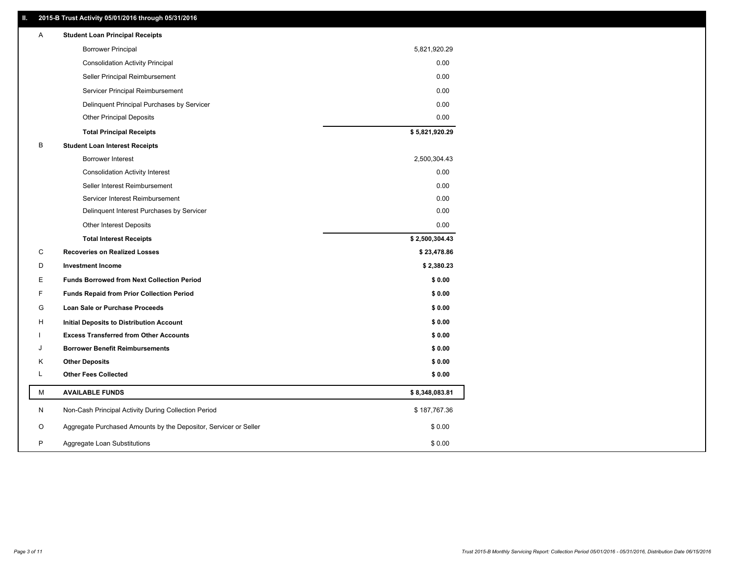### **II. 2015-B Trust Activity 05/01/2016 through 05/31/2016**

| Α | <b>Student Loan Principal Receipts</b>                           |                |  |
|---|------------------------------------------------------------------|----------------|--|
|   | <b>Borrower Principal</b>                                        | 5,821,920.29   |  |
|   | <b>Consolidation Activity Principal</b>                          | 0.00           |  |
|   | Seller Principal Reimbursement                                   | 0.00           |  |
|   | Servicer Principal Reimbursement                                 | 0.00           |  |
|   | Delinquent Principal Purchases by Servicer                       | 0.00           |  |
|   | <b>Other Principal Deposits</b>                                  | 0.00           |  |
|   | <b>Total Principal Receipts</b>                                  | \$5,821,920.29 |  |
| B | <b>Student Loan Interest Receipts</b>                            |                |  |
|   | <b>Borrower Interest</b>                                         | 2,500,304.43   |  |
|   | <b>Consolidation Activity Interest</b>                           | 0.00           |  |
|   | Seller Interest Reimbursement                                    | 0.00           |  |
|   | Servicer Interest Reimbursement                                  | 0.00           |  |
|   | Delinquent Interest Purchases by Servicer                        | 0.00           |  |
|   | Other Interest Deposits                                          | 0.00           |  |
|   | <b>Total Interest Receipts</b>                                   | \$2,500,304.43 |  |
| C | <b>Recoveries on Realized Losses</b>                             | \$23,478.86    |  |
| D | <b>Investment Income</b>                                         | \$2,380.23     |  |
| Ε | <b>Funds Borrowed from Next Collection Period</b>                | \$0.00         |  |
| F | <b>Funds Repaid from Prior Collection Period</b>                 | \$0.00         |  |
| G | Loan Sale or Purchase Proceeds                                   | \$0.00         |  |
| H | Initial Deposits to Distribution Account                         | \$0.00         |  |
|   | <b>Excess Transferred from Other Accounts</b>                    | \$0.00         |  |
| J | <b>Borrower Benefit Reimbursements</b>                           | \$0.00         |  |
| Κ | <b>Other Deposits</b>                                            | \$0.00         |  |
| L | <b>Other Fees Collected</b>                                      | \$0.00         |  |
| м | <b>AVAILABLE FUNDS</b>                                           | \$8,348,083.81 |  |
| N | Non-Cash Principal Activity During Collection Period             | \$187,767.36   |  |
| O | Aggregate Purchased Amounts by the Depositor, Servicer or Seller | \$0.00         |  |
| P | Aggregate Loan Substitutions                                     | \$0.00         |  |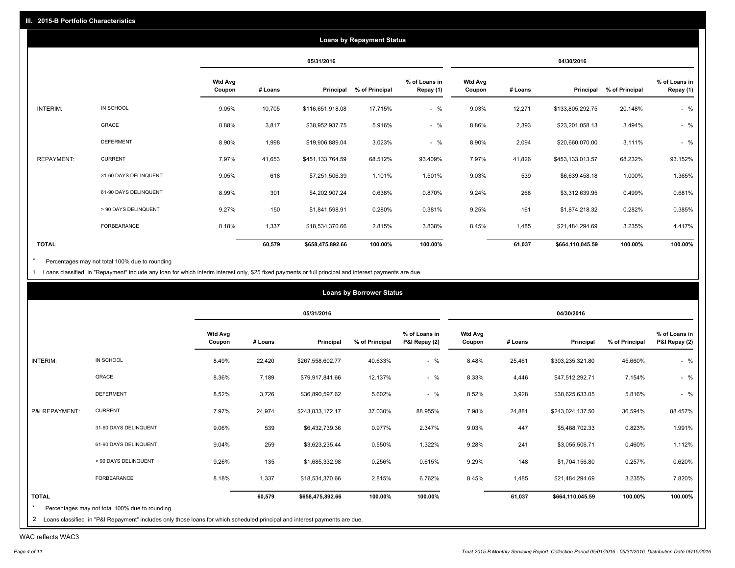|                   |                       |                          |         |                  | <b>Loans by Repayment Status</b> |                            |                          |         |                  |                |                            |
|-------------------|-----------------------|--------------------------|---------|------------------|----------------------------------|----------------------------|--------------------------|---------|------------------|----------------|----------------------------|
|                   |                       |                          |         | 05/31/2016       |                                  |                            |                          |         | 04/30/2016       |                |                            |
|                   |                       | <b>Wtd Avg</b><br>Coupon | # Loans | Principal        | % of Principal                   | % of Loans in<br>Repay (1) | <b>Wtd Avg</b><br>Coupon | # Loans | Principal        | % of Principal | % of Loans in<br>Repay (1) |
| INTERIM:          | IN SCHOOL             | 9.05%                    | 10,705  | \$116,651,918.08 | 17.715%                          | $-$ %                      | 9.03%                    | 12,271  | \$133,805,292.75 | 20.148%        | $-$ %                      |
|                   | <b>GRACE</b>          | 8.88%                    | 3,817   | \$38,952,937.75  | 5.916%                           | $-$ %                      | 8.86%                    | 2,393   | \$23,201,058.13  | 3.494%         | $-$ %                      |
|                   | <b>DEFERMENT</b>      | 8.90%                    | 1,998   | \$19,906,889.04  | 3.023%                           | $-$ %                      | 8.90%                    | 2,094   | \$20,660,070.00  | 3.111%         | $-$ %                      |
| <b>REPAYMENT:</b> | <b>CURRENT</b>        | 7.97%                    | 41,653  | \$451,133,764.59 | 68.512%                          | 93.409%                    | 7.97%                    | 41,826  | \$453,133,013.57 | 68.232%        | 93.152%                    |
|                   | 31-60 DAYS DELINQUENT | 9.05%                    | 618     | \$7,251,506.39   | 1.101%                           | 1.501%                     | 9.03%                    | 539     | \$6,639,458.18   | 1.000%         | 1.365%                     |
|                   | 61-90 DAYS DELINQUENT | 8.99%                    | 301     | \$4,202,907.24   | 0.638%                           | 0.870%                     | 9.24%                    | 268     | \$3,312,639.95   | 0.499%         | 0.681%                     |
|                   | > 90 DAYS DELINQUENT  | 9.27%                    | 150     | \$1,841,598.91   | 0.280%                           | 0.381%                     | 9.25%                    | 161     | \$1,874,218.32   | 0.282%         | 0.385%                     |
|                   | FORBEARANCE           | 8.18%                    | 1,337   | \$18,534,370.66  | 2.815%                           | 3.838%                     | 8.45%                    | 1,485   | \$21,484,294.69  | 3.235%         | 4.417%                     |
| <b>TOTAL</b>      |                       |                          | 60,579  | \$658,475,892.66 | 100.00%                          | 100.00%                    |                          | 61,037  | \$664,110,045.59 | 100.00%        | 100.00%                    |

Percentages may not total 100% due to rounding  $^\star$ 

1 Loans classified in "Repayment" include any loan for which interim interest only, \$25 fixed payments or full principal and interest payments are due.

|                |                                                                                                                              |                          |         |                  | <b>Loans by Borrower Status</b> |                                |                          |         |                  |                |                                |
|----------------|------------------------------------------------------------------------------------------------------------------------------|--------------------------|---------|------------------|---------------------------------|--------------------------------|--------------------------|---------|------------------|----------------|--------------------------------|
|                |                                                                                                                              |                          |         | 05/31/2016       |                                 |                                |                          |         | 04/30/2016       |                |                                |
|                |                                                                                                                              | <b>Wtd Avg</b><br>Coupon | # Loans | Principal        | % of Principal                  | % of Loans in<br>P&I Repay (2) | <b>Wtd Avg</b><br>Coupon | # Loans | Principal        | % of Principal | % of Loans in<br>P&I Repay (2) |
| INTERIM:       | IN SCHOOL                                                                                                                    | 8.49%                    | 22,420  | \$267,558,602.77 | 40.633%                         | $-$ %                          | 8.48%                    | 25,461  | \$303,235,321.80 | 45.660%        | $-$ %                          |
|                | <b>GRACE</b>                                                                                                                 | 8.36%                    | 7,189   | \$79,917,841.66  | 12.137%                         | $-$ %                          | 8.33%                    | 4,446   | \$47,512,292.71  | 7.154%         | $-$ %                          |
|                | <b>DEFERMENT</b>                                                                                                             | 8.52%                    | 3,726   | \$36,890,597.62  | 5.602%                          | $-$ %                          | 8.52%                    | 3,928   | \$38,625,633.05  | 5.816%         | $-$ %                          |
| P&I REPAYMENT: | <b>CURRENT</b>                                                                                                               | 7.97%                    | 24,974  | \$243,833,172.17 | 37.030%                         | 88.955%                        | 7.98%                    | 24,881  | \$243,024,137.50 | 36.594%        | 88.457%                        |
|                | 31-60 DAYS DELINQUENT                                                                                                        | 9.06%                    | 539     | \$6,432,739.36   | 0.977%                          | 2.347%                         | 9.03%                    | 447     | \$5,468,702.33   | 0.823%         | 1.991%                         |
|                | 61-90 DAYS DELINQUENT                                                                                                        | 9.04%                    | 259     | \$3,623,235.44   | 0.550%                          | 1.322%                         | 9.28%                    | 241     | \$3,055,506.71   | 0.460%         | 1.112%                         |
|                | > 90 DAYS DELINQUENT                                                                                                         | 9.26%                    | 135     | \$1,685,332.98   | 0.256%                          | 0.615%                         | 9.29%                    | 148     | \$1,704,156.80   | 0.257%         | 0.620%                         |
|                | FORBEARANCE                                                                                                                  | 8.18%                    | 1,337   | \$18,534,370.66  | 2.815%                          | 6.762%                         | 8.45%                    | 1,485   | \$21,484,294.69  | 3.235%         | 7.820%                         |
| <b>TOTAL</b>   |                                                                                                                              |                          | 60,579  | \$658,475,892.66 | 100.00%                         | 100.00%                        |                          | 61,037  | \$664,110,045.59 | 100.00%        | 100.00%                        |
|                | Percentages may not total 100% due to rounding                                                                               |                          |         |                  |                                 |                                |                          |         |                  |                |                                |
|                | 2 Loans classified in "P&I Repayment" includes only those loans for which scheduled principal and interest payments are due. |                          |         |                  |                                 |                                |                          |         |                  |                |                                |

WAC reflects WAC3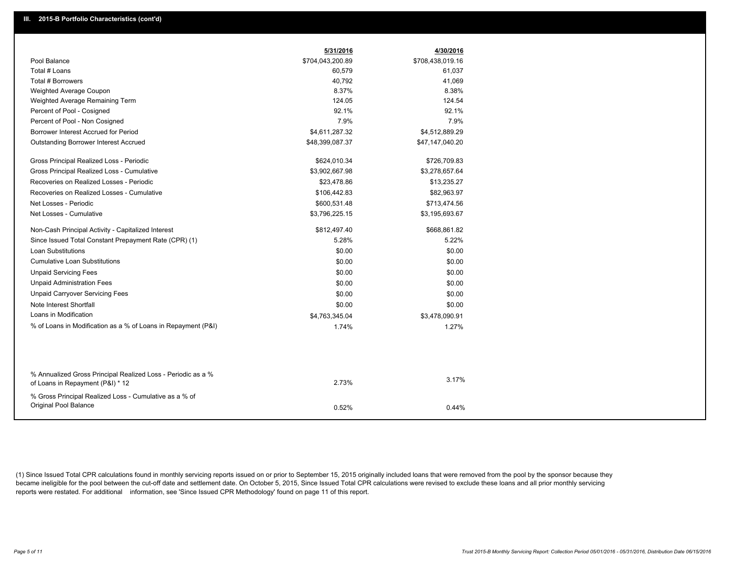|                                                                                 | 5/31/2016        | 4/30/2016        |
|---------------------------------------------------------------------------------|------------------|------------------|
| Pool Balance                                                                    | \$704,043,200.89 | \$708,438,019.16 |
| Total # Loans                                                                   | 60,579           | 61,037           |
| Total # Borrowers                                                               | 40,792           | 41,069           |
| Weighted Average Coupon                                                         | 8.37%            | 8.38%            |
| Weighted Average Remaining Term                                                 | 124.05           | 124.54           |
| Percent of Pool - Cosigned                                                      | 92.1%            | 92.1%            |
| Percent of Pool - Non Cosigned                                                  | 7.9%             | 7.9%             |
| Borrower Interest Accrued for Period                                            | \$4,611,287.32   | \$4,512,889.29   |
| Outstanding Borrower Interest Accrued                                           | \$48,399,087.37  | \$47,147,040.20  |
| Gross Principal Realized Loss - Periodic                                        | \$624,010.34     | \$726,709.83     |
| Gross Principal Realized Loss - Cumulative                                      | \$3,902,667.98   | \$3,278,657.64   |
| Recoveries on Realized Losses - Periodic                                        | \$23,478.86      | \$13,235.27      |
| Recoveries on Realized Losses - Cumulative                                      | \$106,442.83     | \$82,963.97      |
| Net Losses - Periodic                                                           | \$600,531.48     | \$713,474.56     |
| Net Losses - Cumulative                                                         | \$3,796,225.15   | \$3,195,693.67   |
| Non-Cash Principal Activity - Capitalized Interest                              | \$812,497.40     | \$668,861.82     |
| Since Issued Total Constant Prepayment Rate (CPR) (1)                           | 5.28%            | 5.22%            |
| <b>Loan Substitutions</b>                                                       | \$0.00           | \$0.00           |
| <b>Cumulative Loan Substitutions</b>                                            | \$0.00           | \$0.00           |
| <b>Unpaid Servicing Fees</b>                                                    | \$0.00           | \$0.00           |
| <b>Unpaid Administration Fees</b>                                               | \$0.00           | \$0.00           |
| <b>Unpaid Carryover Servicing Fees</b>                                          | \$0.00           | \$0.00           |
| Note Interest Shortfall                                                         | \$0.00           | \$0.00           |
| Loans in Modification                                                           | \$4,763,345.04   | \$3,478,090.91   |
| % of Loans in Modification as a % of Loans in Repayment (P&I)                   | 1.74%            | 1.27%            |
|                                                                                 |                  |                  |
| % Annualized Gross Principal Realized Loss - Periodic as a %                    |                  |                  |
| of Loans in Repayment (P&I) * 12                                                | 2.73%            | 3.17%            |
| % Gross Principal Realized Loss - Cumulative as a % of<br>Original Pool Balance | 0.52%            | 0.44%            |
|                                                                                 |                  |                  |

(1) Since Issued Total CPR calculations found in monthly servicing reports issued on or prior to September 15, 2015 originally included loans that were removed from the pool by the sponsor because they became ineligible for the pool between the cut-off date and settlement date. On October 5, 2015, Since Issued Total CPR calculations were revised to exclude these loans and all prior monthly servicing reports were restated. For additional information, see 'Since Issued CPR Methodology' found on page 11 of this report.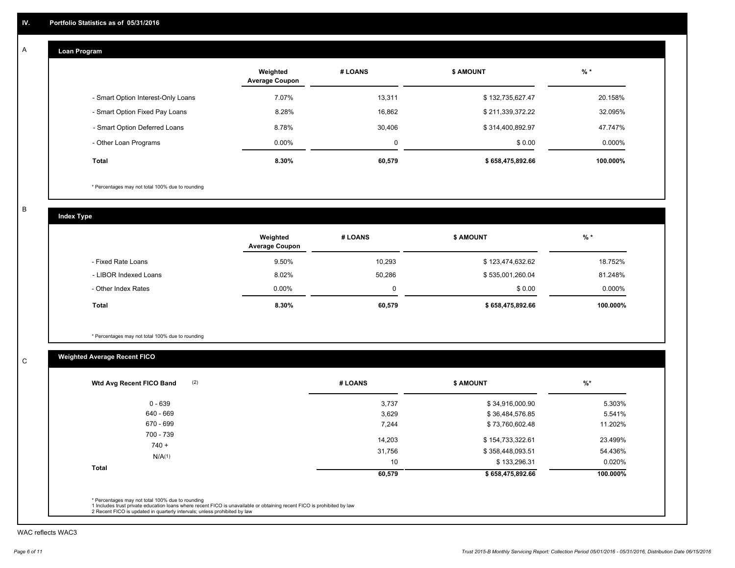#### **Loan Program**  A

|                                    | Weighted<br><b>Average Coupon</b> | # LOANS | <b>\$ AMOUNT</b> | $%$ *     |
|------------------------------------|-----------------------------------|---------|------------------|-----------|
| - Smart Option Interest-Only Loans | 7.07%                             | 13,311  | \$132,735,627.47 | 20.158%   |
| - Smart Option Fixed Pay Loans     | 8.28%                             | 16,862  | \$211,339,372.22 | 32.095%   |
| - Smart Option Deferred Loans      | 8.78%                             | 30,406  | \$314,400,892.97 | 47.747%   |
| - Other Loan Programs              | $0.00\%$                          | 0       | \$0.00           | $0.000\%$ |
| <b>Total</b>                       | 8.30%                             | 60,579  | \$658,475,892.66 | 100.000%  |

\* Percentages may not total 100% due to rounding

B

C

**Index Type**

|                       | Weighted<br><b>Average Coupon</b> | # LOANS  | <b>\$ AMOUNT</b> | $%$ *     |
|-----------------------|-----------------------------------|----------|------------------|-----------|
| - Fixed Rate Loans    | 9.50%                             | 10,293   | \$123,474,632.62 | 18.752%   |
| - LIBOR Indexed Loans | 8.02%                             | 50.286   | \$535,001,260.04 | 81.248%   |
| - Other Index Rates   | $0.00\%$                          | $\Omega$ | \$0.00           | $0.000\%$ |
| Total                 | 8.30%                             | 60,579   | \$658,475,892.66 | 100.000%  |

\* Percentages may not total 100% due to rounding

## **Weighted Average Recent FICO**

| 3,737<br>3,629 | \$34,916,000.90  | 5.303%    |
|----------------|------------------|-----------|
|                |                  |           |
|                | \$36,484,576.85  | 5.541%    |
| 7,244          | \$73,760,602.48  | 11.202%   |
| 14,203         | \$154,733,322.61 | 23.499%   |
| 31,756         | \$358,448,093.51 | 54.436%   |
| 10             | \$133,296.31     | $0.020\%$ |
| 60,579         | \$658,475,892.66 | 100.000%  |
|                |                  |           |

WAC reflects WAC3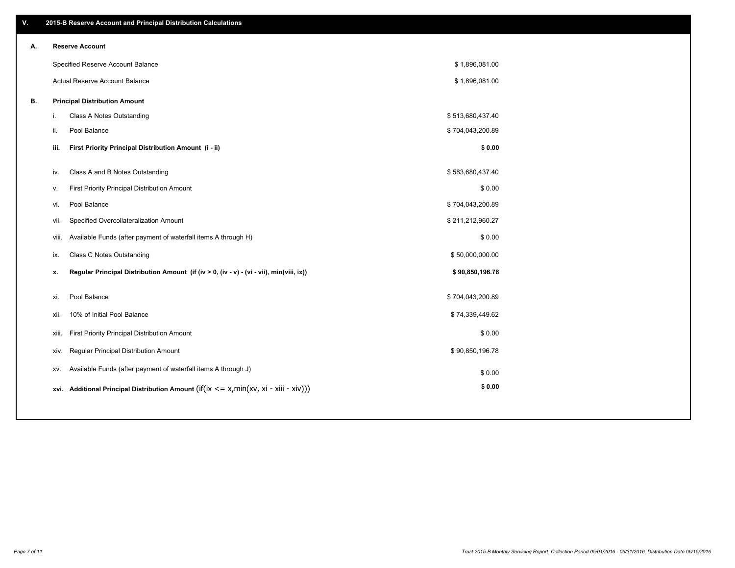| ۷. |       | 2015-B Reserve Account and Principal Distribution Calculations                             |                  |  |
|----|-------|--------------------------------------------------------------------------------------------|------------------|--|
| А. |       | <b>Reserve Account</b>                                                                     |                  |  |
|    |       | Specified Reserve Account Balance                                                          | \$1,896,081.00   |  |
|    |       | <b>Actual Reserve Account Balance</b>                                                      | \$1,896,081.00   |  |
| В. |       | <b>Principal Distribution Amount</b>                                                       |                  |  |
|    | i.    | Class A Notes Outstanding                                                                  | \$513,680,437.40 |  |
|    | ii.   | Pool Balance                                                                               | \$704,043,200.89 |  |
|    | iii.  | First Priority Principal Distribution Amount (i - ii)                                      | \$0.00           |  |
|    |       |                                                                                            |                  |  |
|    | iv.   | Class A and B Notes Outstanding                                                            | \$583,680,437.40 |  |
|    | v.    | First Priority Principal Distribution Amount                                               | \$0.00           |  |
|    | vi.   | Pool Balance                                                                               | \$704,043,200.89 |  |
|    | vii.  | Specified Overcollateralization Amount                                                     | \$211,212,960.27 |  |
|    | viii. | Available Funds (after payment of waterfall items A through H)                             | \$0.00           |  |
|    | ix.   | Class C Notes Outstanding                                                                  | \$50,000,000.00  |  |
|    | x.    | Regular Principal Distribution Amount (if (iv > 0, (iv - v) - (vi - vii), min(viii, ix))   | \$90,850,196.78  |  |
|    |       |                                                                                            |                  |  |
|    | xi.   | Pool Balance                                                                               | \$704,043,200.89 |  |
|    | xii.  | 10% of Initial Pool Balance                                                                | \$74,339,449.62  |  |
|    | xiii. | First Priority Principal Distribution Amount                                               | \$0.00           |  |
|    | xiv.  | Regular Principal Distribution Amount                                                      | \$90,850,196.78  |  |
|    | XV.   | Available Funds (after payment of waterfall items A through J)                             | \$0.00           |  |
|    |       | xvi. Additional Principal Distribution Amount (if(ix $\lt$ = x, min(xv, xi - xiii - xiv))) | \$0.00           |  |
|    |       |                                                                                            |                  |  |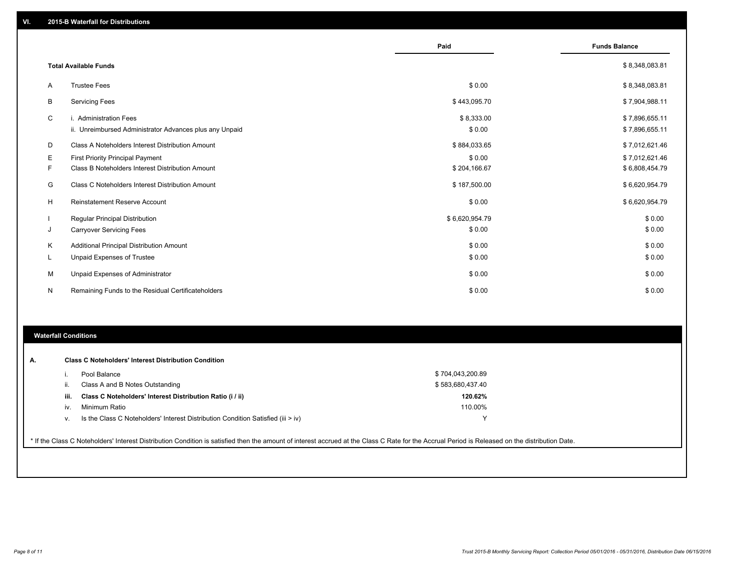|    |                                                                                   | Paid                 | <b>Funds Balance</b>             |
|----|-----------------------------------------------------------------------------------|----------------------|----------------------------------|
|    | <b>Total Available Funds</b>                                                      |                      | \$8,348,083.81                   |
| A  | <b>Trustee Fees</b>                                                               | \$0.00               | \$8,348,083.81                   |
| B  | <b>Servicing Fees</b>                                                             | \$443,095.70         | \$7,904,988.11                   |
| C  | i. Administration Fees<br>ii. Unreimbursed Administrator Advances plus any Unpaid | \$8,333.00<br>\$0.00 | \$7,896,655.11<br>\$7,896,655.11 |
| D  | Class A Noteholders Interest Distribution Amount                                  | \$884,033.65         | \$7,012,621.46                   |
| Е  | <b>First Priority Principal Payment</b>                                           | \$0.00               | \$7,012,621.46                   |
| F  | Class B Noteholders Interest Distribution Amount                                  | \$204,166.67         | \$6,808,454.79                   |
| G  | Class C Noteholders Interest Distribution Amount                                  | \$187,500.00         | \$6,620,954.79                   |
| н  | <b>Reinstatement Reserve Account</b>                                              | \$0.00               | \$6,620,954.79                   |
|    | <b>Regular Principal Distribution</b>                                             | \$6,620,954.79       | \$0.00                           |
| J  | <b>Carryover Servicing Fees</b>                                                   | \$0.00               | \$0.00                           |
| K  | Additional Principal Distribution Amount                                          | \$0.00               | \$0.00                           |
| L. | Unpaid Expenses of Trustee                                                        | \$0.00               | \$0.00                           |
| М  | Unpaid Expenses of Administrator                                                  | \$0.00               | \$0.00                           |
| N  | Remaining Funds to the Residual Certificateholders                                | \$0.00               | \$0.00                           |

#### **Waterfall Conditions**

|      | Pool Balance                                                                       | \$704,043,200.89 |
|------|------------------------------------------------------------------------------------|------------------|
| Ш.   | Class A and B Notes Outstanding                                                    | \$583,680,437.40 |
| iii. | Class C Noteholders' Interest Distribution Ratio (i / ii)                          | 120.62%          |
| IV.  | Minimum Ratio                                                                      | 110.00%          |
| ν.   | Is the Class C Noteholders' Interest Distribution Condition Satisfied (iii $>$ iv) | v                |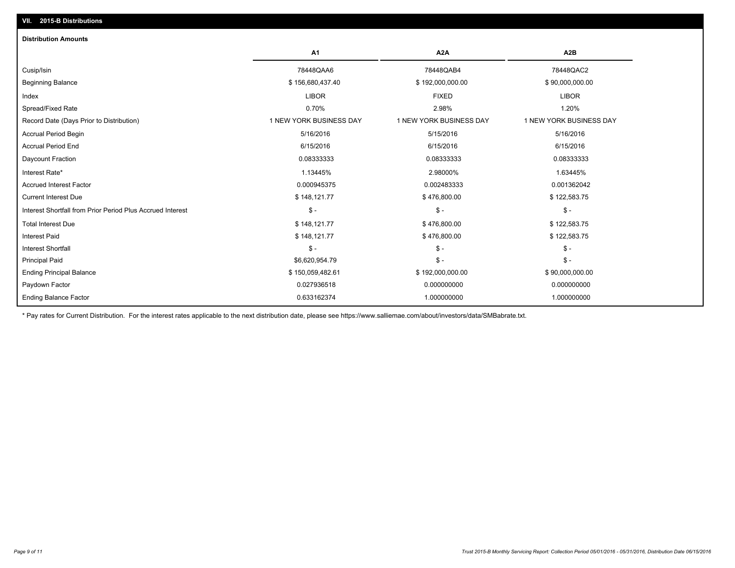| <b>Distribution Amounts</b>                                |                         |                         |                         |
|------------------------------------------------------------|-------------------------|-------------------------|-------------------------|
|                                                            | A1                      | A <sub>2</sub> A        | A <sub>2</sub> B        |
| Cusip/Isin                                                 | 78448QAA6               | 78448QAB4               | 78448QAC2               |
| <b>Beginning Balance</b>                                   | \$156,680,437.40        | \$192,000,000.00        | \$90,000,000.00         |
| Index                                                      | <b>LIBOR</b>            | <b>FIXED</b>            | <b>LIBOR</b>            |
| Spread/Fixed Rate                                          | 0.70%                   | 2.98%                   | 1.20%                   |
| Record Date (Days Prior to Distribution)                   | 1 NEW YORK BUSINESS DAY | 1 NEW YORK BUSINESS DAY | 1 NEW YORK BUSINESS DAY |
| <b>Accrual Period Begin</b>                                | 5/16/2016               | 5/15/2016               | 5/16/2016               |
| <b>Accrual Period End</b>                                  | 6/15/2016               | 6/15/2016               | 6/15/2016               |
| Daycount Fraction                                          | 0.08333333              | 0.08333333              | 0.08333333              |
| Interest Rate*                                             | 1.13445%                | 2.98000%                | 1.63445%                |
| <b>Accrued Interest Factor</b>                             | 0.000945375             | 0.002483333             | 0.001362042             |
| <b>Current Interest Due</b>                                | \$148,121.77            | \$476,800.00            | \$122,583.75            |
| Interest Shortfall from Prior Period Plus Accrued Interest | $\mathsf{\$}$ -         | $\mathsf{\$}$ -         | $\mathcal{S}$ -         |
| <b>Total Interest Due</b>                                  | \$148,121.77            | \$476,800.00            | \$122,583.75            |
| <b>Interest Paid</b>                                       | \$148,121.77            | \$476,800.00            | \$122,583.75            |
| <b>Interest Shortfall</b>                                  | $S -$                   | $S -$                   | $\mathsf{\$}$ -         |
| <b>Principal Paid</b>                                      | \$6,620,954.79          | $\frac{2}{3}$ -         | $\mathsf{\$}$ -         |
| <b>Ending Principal Balance</b>                            | \$150,059,482.61        | \$192,000,000.00        | \$90,000,000.00         |
| Paydown Factor                                             | 0.027936518             | 0.000000000             | 0.000000000             |
| <b>Ending Balance Factor</b>                               | 0.633162374             | 1.000000000             | 1.000000000             |

\* Pay rates for Current Distribution. For the interest rates applicable to the next distribution date, please see https://www.salliemae.com/about/investors/data/SMBabrate.txt.

**VII. 2015-B Distributions**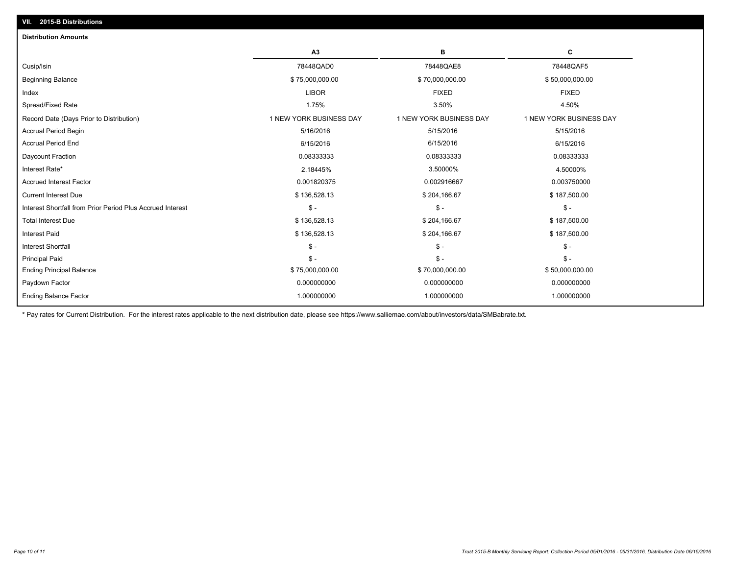| <b>Distribution Amounts</b>                                |                         |                         |                         |
|------------------------------------------------------------|-------------------------|-------------------------|-------------------------|
|                                                            | A <sub>3</sub>          | в                       | c                       |
| Cusip/Isin                                                 | 78448QAD0               | 78448QAE8               | 78448QAF5               |
| <b>Beginning Balance</b>                                   | \$75,000,000.00         | \$70,000,000.00         | \$50,000,000.00         |
| Index                                                      | <b>LIBOR</b>            | <b>FIXED</b>            | <b>FIXED</b>            |
| Spread/Fixed Rate                                          | 1.75%                   | 3.50%                   | 4.50%                   |
| Record Date (Days Prior to Distribution)                   | 1 NEW YORK BUSINESS DAY | 1 NEW YORK BUSINESS DAY | 1 NEW YORK BUSINESS DAY |
| <b>Accrual Period Begin</b>                                | 5/16/2016               | 5/15/2016               | 5/15/2016               |
| <b>Accrual Period End</b>                                  | 6/15/2016               | 6/15/2016               | 6/15/2016               |
| Daycount Fraction                                          | 0.08333333              | 0.08333333              | 0.08333333              |
| Interest Rate*                                             | 2.18445%                | 3.50000%                | 4.50000%                |
| <b>Accrued Interest Factor</b>                             | 0.001820375             | 0.002916667             | 0.003750000             |
| <b>Current Interest Due</b>                                | \$136,528.13            | \$204,166.67            | \$187,500.00            |
| Interest Shortfall from Prior Period Plus Accrued Interest | $\mathbb{S}$ -          | $\mathsf{\$}$ -         | $\mathsf{\$}$ -         |
| <b>Total Interest Due</b>                                  | \$136,528.13            | \$204,166.67            | \$187,500.00            |
| <b>Interest Paid</b>                                       | \$136,528.13            | \$204,166.67            | \$187,500.00            |
| <b>Interest Shortfall</b>                                  | $\mathbb{S}$ -          | $\mathsf{\$}$ -         | $\mathsf{\$}$ -         |
| <b>Principal Paid</b>                                      | $S -$                   | $\mathsf S$ -           | $\mathsf{\$}$ -         |
| <b>Ending Principal Balance</b>                            | \$75,000,000.00         | \$70,000,000.00         | \$50,000,000.00         |
| Paydown Factor                                             | 0.000000000             | 0.000000000             | 0.000000000             |
| <b>Ending Balance Factor</b>                               | 1.000000000             | 1.000000000             | 1.000000000             |

\* Pay rates for Current Distribution. For the interest rates applicable to the next distribution date, please see https://www.salliemae.com/about/investors/data/SMBabrate.txt.

**VII. 2015-B Distributions**